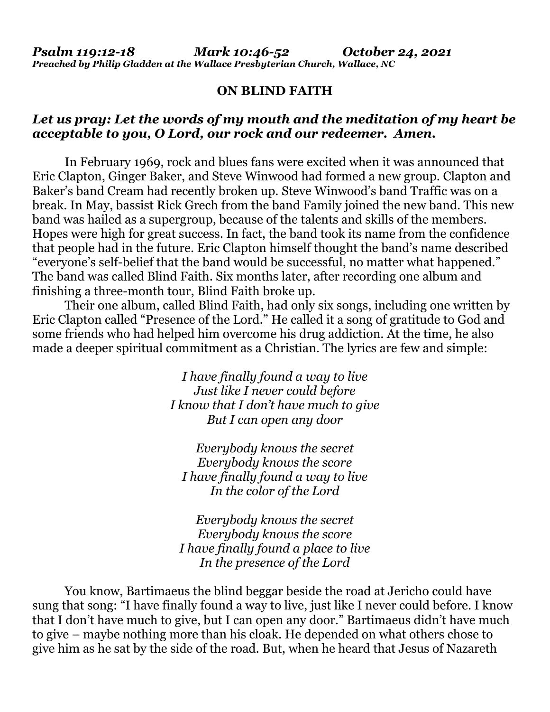## **ON BLIND FAITH**

## *Let us pray: Let the words of my mouth and the meditation of my heart be acceptable to you, O Lord, our rock and our redeemer. Amen.*

 In February 1969, rock and blues fans were excited when it was announced that Eric Clapton, Ginger Baker, and Steve Winwood had formed a new group. Clapton and Baker's band Cream had recently broken up. Steve Winwood's band Traffic was on a break. In May, bassist Rick Grech from the band Family joined the new band. This new band was hailed as a supergroup, because of the talents and skills of the members. Hopes were high for great success. In fact, the band took its name from the confidence that people had in the future. Eric Clapton himself thought the band's name described "everyone's self-belief that the band would be successful, no matter what happened." The band was called Blind Faith. Six months later, after recording one album and finishing a three-month tour, Blind Faith broke up.

 Their one album, called Blind Faith, had only six songs, including one written by Eric Clapton called "Presence of the Lord." He called it a song of gratitude to God and some friends who had helped him overcome his drug addiction. At the time, he also made a deeper spiritual commitment as a Christian. The lyrics are few and simple:

> *I have finally found a way to live Just like I never could before I know that I don't have much to give But I can open any door*

*Everybody knows the secret Everybody knows the score I have finally found a way to live In the color of the Lord* 

*Everybody knows the secret Everybody knows the score I have finally found a place to live In the presence of the Lord* 

 You know, Bartimaeus the blind beggar beside the road at Jericho could have sung that song: "I have finally found a way to live, just like I never could before. I know that I don't have much to give, but I can open any door." Bartimaeus didn't have much to give – maybe nothing more than his cloak. He depended on what others chose to give him as he sat by the side of the road. But, when he heard that Jesus of Nazareth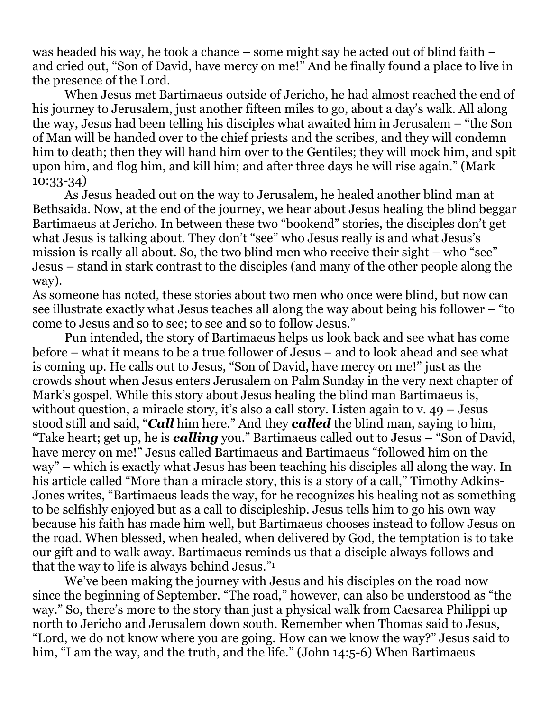was headed his way, he took a chance – some might say he acted out of blind faith – and cried out, "Son of David, have mercy on me!" And he finally found a place to live in the presence of the Lord.

 When Jesus met Bartimaeus outside of Jericho, he had almost reached the end of his journey to Jerusalem, just another fifteen miles to go, about a day's walk. All along the way, Jesus had been telling his disciples what awaited him in Jerusalem – "the Son of Man will be handed over to the chief priests and the scribes, and they will condemn him to death; then they will hand him over to the Gentiles; they will mock him, and spit upon him, and flog him, and kill him; and after three days he will rise again." (Mark 10:33-34)

 As Jesus headed out on the way to Jerusalem, he healed another blind man at Bethsaida. Now, at the end of the journey, we hear about Jesus healing the blind beggar Bartimaeus at Jericho. In between these two "bookend" stories, the disciples don't get what Jesus is talking about. They don't "see" who Jesus really is and what Jesus's mission is really all about. So, the two blind men who receive their sight – who "see" Jesus – stand in stark contrast to the disciples (and many of the other people along the way).

As someone has noted, these stories about two men who once were blind, but now can see illustrate exactly what Jesus teaches all along the way about being his follower – "to come to Jesus and so to see; to see and so to follow Jesus."

 Pun intended, the story of Bartimaeus helps us look back and see what has come before – what it means to be a true follower of Jesus – and to look ahead and see what is coming up. He calls out to Jesus, "Son of David, have mercy on me!" just as the crowds shout when Jesus enters Jerusalem on Palm Sunday in the very next chapter of Mark's gospel. While this story about Jesus healing the blind man Bartimaeus is, without question, a miracle story, it's also a call story. Listen again to v. 49 – Jesus stood still and said, "*Call* him here." And they *called* the blind man, saying to him, "Take heart; get up, he is *calling* you." Bartimaeus called out to Jesus – "Son of David, have mercy on me!" Jesus called Bartimaeus and Bartimaeus "followed him on the way" – which is exactly what Jesus has been teaching his disciples all along the way. In his article called "More than a miracle story, this is a story of a call," Timothy Adkins-Jones writes, "Bartimaeus leads the way, for he recognizes his healing not as something to be selfishly enjoyed but as a call to discipleship. Jesus tells him to go his own way because his faith has made him well, but Bartimaeus chooses instead to follow Jesus on the road. When blessed, when healed, when delivered by God, the temptation is to take our gift and to walk away. Bartimaeus reminds us that a disciple always follows and that the way to life is always behind Jesus."<sup>1</sup>

 We've been making the journey with Jesus and his disciples on the road now since the beginning of September. "The road," however, can also be understood as "the way." So, there's more to the story than just a physical walk from Caesarea Philippi up north to Jericho and Jerusalem down south. Remember when Thomas said to Jesus, "Lord, we do not know where you are going. How can we know the way?" Jesus said to him, "I am the way, and the truth, and the life." (John 14:5-6) When Bartimaeus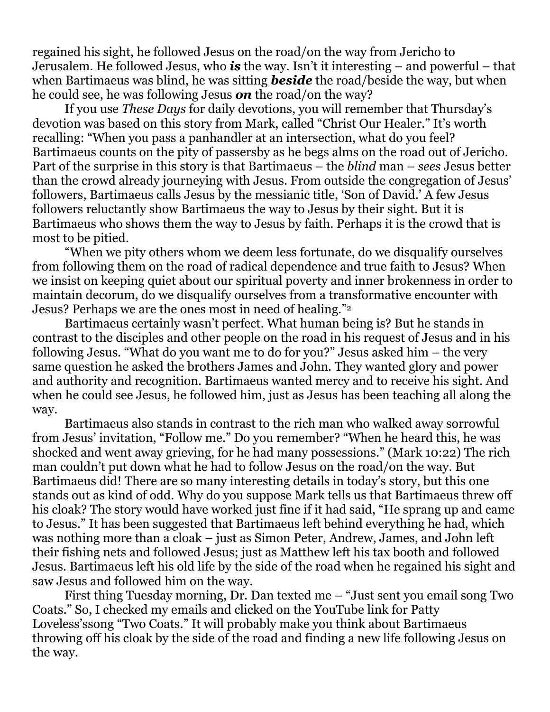regained his sight, he followed Jesus on the road/on the way from Jericho to Jerusalem. He followed Jesus, who *is* the way. Isn't it interesting – and powerful – that when Bartimaeus was blind, he was sitting *beside* the road/beside the way, but when he could see, he was following Jesus *on* the road/on the way?

 If you use *These Days* for daily devotions, you will remember that Thursday's devotion was based on this story from Mark, called "Christ Our Healer." It's worth recalling: "When you pass a panhandler at an intersection, what do you feel? Bartimaeus counts on the pity of passersby as he begs alms on the road out of Jericho. Part of the surprise in this story is that Bartimaeus – the *blind* man – *sees* Jesus better than the crowd already journeying with Jesus. From outside the congregation of Jesus' followers, Bartimaeus calls Jesus by the messianic title, 'Son of David.' A few Jesus followers reluctantly show Bartimaeus the way to Jesus by their sight. But it is Bartimaeus who shows them the way to Jesus by faith. Perhaps it is the crowd that is most to be pitied.

 "When we pity others whom we deem less fortunate, do we disqualify ourselves from following them on the road of radical dependence and true faith to Jesus? When we insist on keeping quiet about our spiritual poverty and inner brokenness in order to maintain decorum, do we disqualify ourselves from a transformative encounter with Jesus? Perhaps we are the ones most in need of healing."<sup>2</sup>

 Bartimaeus certainly wasn't perfect. What human being is? But he stands in contrast to the disciples and other people on the road in his request of Jesus and in his following Jesus. "What do you want me to do for you?" Jesus asked him – the very same question he asked the brothers James and John. They wanted glory and power and authority and recognition. Bartimaeus wanted mercy and to receive his sight. And when he could see Jesus, he followed him, just as Jesus has been teaching all along the way.

 Bartimaeus also stands in contrast to the rich man who walked away sorrowful from Jesus' invitation, "Follow me." Do you remember? "When he heard this, he was shocked and went away grieving, for he had many possessions." (Mark 10:22) The rich man couldn't put down what he had to follow Jesus on the road/on the way. But Bartimaeus did! There are so many interesting details in today's story, but this one stands out as kind of odd. Why do you suppose Mark tells us that Bartimaeus threw off his cloak? The story would have worked just fine if it had said, "He sprang up and came to Jesus." It has been suggested that Bartimaeus left behind everything he had, which was nothing more than a cloak – just as Simon Peter, Andrew, James, and John left their fishing nets and followed Jesus; just as Matthew left his tax booth and followed Jesus. Bartimaeus left his old life by the side of the road when he regained his sight and saw Jesus and followed him on the way.

 First thing Tuesday morning, Dr. Dan texted me – "Just sent you email song Two Coats." So, I checked my emails and clicked on the YouTube link for Patty Loveless'ssong "Two Coats." It will probably make you think about Bartimaeus throwing off his cloak by the side of the road and finding a new life following Jesus on the way.